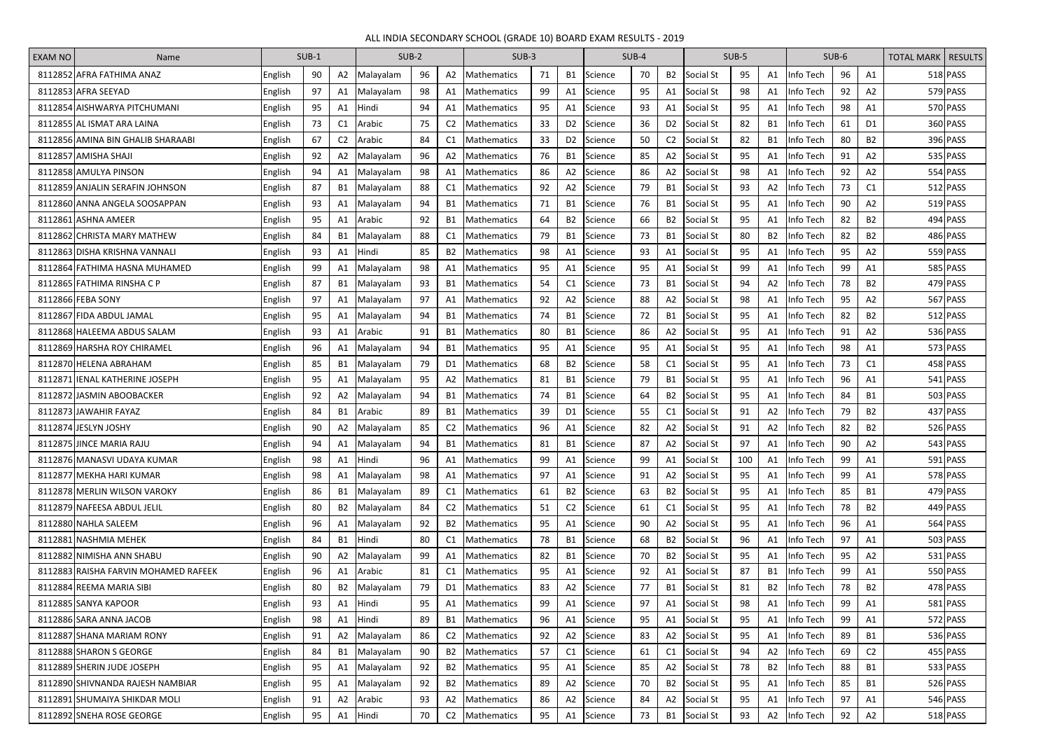## ALL INDIA SECONDARY SCHOOL (GRADE 10) BOARD EXAM RESULTS - 2019

| <b>EXAM NO</b> | Name                                 | $SUB-1$ |    |                | $SUB-2$        |    |                | $SUB-3$                    |    |                | SUB-4   |    | SUB-5          |                  | SUB-6 |                |           | <b>TOTAL MARK   RESULTS</b> |                |  |            |
|----------------|--------------------------------------|---------|----|----------------|----------------|----|----------------|----------------------------|----|----------------|---------|----|----------------|------------------|-------|----------------|-----------|-----------------------------|----------------|--|------------|
|                | 8112852 AFRA FATHIMA ANAZ            | English | 90 | A2             | Malayalam      | 96 | A2             | Mathematics                | 71 | <b>B1</b>      | Science | 70 | <b>B2</b>      | Social St        | 95    | A1             | Info Tech | 96                          | A1             |  | 518 PASS   |
|                | 8112853 AFRA SEEYAD                  | English | 97 | A1             | Malayalam      | 98 | Α1             | <b>Mathematics</b>         | 99 | A1             | Science | 95 | A1             | Social St        | 98    | A1             | Info Tech | 92                          | А2             |  | 579 PASS   |
|                | 8112854 AISHWARYA PITCHUMANI         | English | 95 | A <sub>1</sub> | <b>I</b> Hindi | 94 | A1             | <b>Mathematics</b>         | 95 | A1             | Science | 93 | A1             | <b>Social St</b> | 95    | A1             | Info Tech | 98                          | A1             |  | 570 PASS   |
|                | 8112855 AL ISMAT ARA LAINA           | English | 73 | C1             | Arabic         | 75 | C <sub>2</sub> | <b>Mathematics</b>         | 33 | D <sub>2</sub> | Science | 36 | D <sub>2</sub> | Social St        | 82    | <b>B1</b>      | Info Tech | 61                          | D <sub>1</sub> |  | 360 PASS   |
|                | 8112856 AMINA BIN GHALIB SHARAABI    | English | 67 | C <sub>2</sub> | Arabic         | 84 | C1             | Mathematics                | 33 | D <sub>2</sub> | Science | 50 | C <sub>2</sub> | Social St        | 82    | <b>B1</b>      | Info Tech | 80                          | <b>B2</b>      |  | 396 PASS   |
|                | 8112857 AMISHA SHAJI                 | English | 92 | A2             | Malayalam      | 96 | A2             | Mathematics                | 76 | <b>B1</b>      | Science | 85 | A2             | Social St        | 95    | A1             | Info Tech | 91                          | A2             |  | 535 PASS   |
|                | 8112858 AMULYA PINSON                | English | 94 | A <sub>1</sub> | Malayalam      | 98 | Α1             | Mathematics                | 86 | A <sub>2</sub> | Science | 86 | A2             | Social St        | 98    | A1             | Info Tech | 92                          | A2             |  | 554 PASS   |
|                | 8112859 ANJALIN SERAFIN JOHNSON      | English | 87 | <b>B1</b>      | Malayalam      | 88 | C1             | <b>Mathematics</b>         | 92 | A2             | Science | 79 | <b>B1</b>      | Social St        | 93    | A2             | Info Tech | 73                          | C1             |  | 512 PASS   |
|                | 8112860 ANNA ANGELA SOOSAPPAN        | English | 93 | A <sub>1</sub> | Malayalam      | 94 | B1             | Mathematics                | 71 | <b>B1</b>      | Science | 76 | <b>B1</b>      | <b>Social St</b> | 95    | A1             | Info Tech | 90                          | A2             |  | $519$ PASS |
|                | 8112861 ASHNA AMEER                  | English | 95 | A1             | Arabic         | 92 | <b>B1</b>      | Mathematics                | 64 | <b>B2</b>      | Science | 66 | B2             | Social St        | 95    | A1             | Info Tech | 82                          | <b>B2</b>      |  | 494 PASS   |
|                | 8112862 CHRISTA MARY MATHEW          | English | 84 | <b>B1</b>      | Malayalam      | 88 | C <sub>1</sub> | Mathematics                | 79 | <b>B1</b>      | Science | 73 | B1             | Social St        | 80    | B <sub>2</sub> | Info Tech | 82                          | <b>B2</b>      |  | 486 PASS   |
|                | 8112863 DISHA KRISHNA VANNALI        | English | 93 | A1             | Hindi          | 85 | <b>B2</b>      | Mathematics                | 98 | A1             | Science | 93 | A1             | Social St        | 95    | A1             | Info Tech | 95                          | A2             |  | 559 PASS   |
|                | 8112864 FATHIMA HASNA MUHAMED        | English | 99 | A <sub>1</sub> | Malayalam      | 98 | A1             | Mathematics                | 95 | A1             | Science | 95 | A1             | Social St        | 99    | A1             | Info Tech | 99                          | Α1             |  | 585 PASS   |
|                | 8112865 FATHIMA RINSHA C P           | English | 87 | <b>B1</b>      | Malayalam      | 93 | <b>B1</b>      | Mathematics                | 54 | C <sub>1</sub> | Science | 73 | B1             | Social St        | 94    | A2             | Info Tech | 78                          | <b>B2</b>      |  | 479 PASS   |
|                | 8112866 FEBA SONY                    | English | 97 | A <sub>1</sub> | Malayalam      | 97 | A1             | <b>Mathematics</b>         | 92 | A2             | Science | 88 | A2             | Social St        | 98    | A1             | Info Tech | 95                          | A2             |  | 567 PASS   |
|                | 8112867 FIDA ABDUL JAMAL             | English | 95 | A <sub>1</sub> | Malayalam      | 94 | B1             | Mathematics                | 74 | <b>B1</b>      | Science | 72 | B1             | Social St        | 95    | A1.            | Info Tech | 82                          | <b>B2</b>      |  | 512 PASS   |
|                | 8112868 HALEEMA ABDUS SALAM          | English | 93 | A <sub>1</sub> | <b>Arabic</b>  | 91 | <b>B1</b>      | <b>Mathematics</b>         | 80 | <b>B1</b>      | Science | 86 | A2             | Social St        | 95    | A1             | Info Tech | 91                          | A2             |  | 536 PASS   |
|                | 8112869 HARSHA ROY CHIRAMEL          | English | 96 | A1             | Malayalam      | 94 | B1             | Mathematics                | 95 | A1             | Science | 95 | A1             | Social St        | 95    | A1             | Info Tech | 98                          | A1             |  | 573 PASS   |
|                | 8112870 HELENA ABRAHAM               | English | 85 | <b>B1</b>      | Malayalam      | 79 | D <sub>1</sub> | Mathematics                | 68 | <b>B2</b>      | Science | 58 | C1             | Social St        | 95    | A1             | Info Tech | 73                          | C1             |  | 458 PASS   |
|                | 8112871 JIENAL KATHERINE JOSEPH      | English | 95 | A1             | Malayalam      | 95 | A2             | Mathematics                | 81 | <b>B1</b>      | Science | 79 | B1             | Social St        | 95    | A1             | Info Tech | 96                          | A1             |  | 541 PASS   |
|                | 8112872 JASMIN ABOOBACKER            | English | 92 | A2             | Malayalam      | 94 | B1             | Mathematics                | 74 | <b>B1</b>      | Science | 64 | <b>B2</b>      | Social St        | 95    | A1             | Info Tech | 84                          | <b>B1</b>      |  | 503 PASS   |
|                | 8112873 JAWAHIR FAYAZ                | English | 84 | <b>B1</b>      | Arabic         | 89 | <b>B1</b>      | Mathematics                | 39 | D <sub>1</sub> | Science | 55 | C1             | Social St        | 91    | A2             | Info Tech | 79                          | <b>B2</b>      |  | 437 PASS   |
|                | 8112874 JESLYN JOSHY                 | English | 90 | A2             | Malayalam      | 85 | C <sub>2</sub> | Mathematics                | 96 | A1             | Science | 82 | A2             | Social St        | 91    | A2             | Info Tech | 82                          | <b>B2</b>      |  | 526 PASS   |
|                | 8112875 JINCE MARIA RAJU             | English | 94 |                | Malayalam      | 94 | <b>B1</b>      | Mathematics                | 81 | <b>B1</b>      | Science | 87 | A2             | Social St        | 97    | A1             | Info Tech | 90                          | A2             |  | 543 PASS   |
|                | 8112876 MANASVI UDAYA KUMAR          | English | 98 | A1             | Hindi          | 96 |                | A1   Mathematics           | 99 | A1             | Science | 99 | A1             | Social St        | 100   | A1             | Info Tech | 99                          | A1             |  | $591$ PASS |
|                | 8112877 MEKHA HARI KUMAR             | English | 98 | A1             | Malayalam      | 98 |                | A1   Mathematics           | 97 | A1             | Science | 91 | A2             | Social St        | 95    | A1             | Info Tech | 99                          | A1             |  | 578 PASS   |
|                | 8112878 MERLIN WILSON VAROKY         | English | 86 | <b>B1</b>      | Malayalam      | 89 |                | C1 Mathematics             | 61 | <b>B2</b>      | Science | 63 | <b>B2</b>      | Social St        | 95    | A1             | Info Tech | 85                          | B1             |  | 479 PASS   |
|                | 8112879 NAFEESA ABDUL JELIL          | English | 80 | <b>B2</b>      | Malayalam      | 84 |                | C <sub>2</sub> Mathematics | 51 | C <sub>2</sub> | Science | 61 | C1             | Social St        | 95    | A1             | Info Tech | 78                          | <b>B2</b>      |  | 449 PASS   |
|                | 8112880 NAHLA SALEEM                 | English | 96 | A1             | Malayalam      | 92 |                | B2 Mathematics             | 95 | A1             | Science | 90 | A2             | Social St        | 95    | A1             | Info Tech | 96                          | A1             |  | 564 PASS   |
|                | 8112881 NASHMIA MEHEK                | English | 84 | <b>B1</b>      | Hindi          | 80 |                | C1 Mathematics             | 78 | <b>B1</b>      | Science | 68 | <b>B2</b>      | Social St        | 96    | A1             | Info Tech | 97                          | A1             |  | 503 PASS   |
|                | 8112882 NIMISHA ANN SHABU            | English | 90 | A2             | Malayalam      | 99 |                | A1 Mathematics             | 82 | <b>B1</b>      | Science | 70 | <b>B2</b>      | Social St        | 95    | A1             | Info Tech | 95                          | A2             |  | $531$ PASS |
|                | 8112883 RAISHA FARVIN MOHAMED RAFEEK | English | 96 | A1             | Arabic         | 81 |                | C1   Mathematics           | 95 | A1             | Science | 92 | A1             | Social St        | 87    | <b>B1</b>      | Info Tech | 99                          | Α1             |  | 550 PASS   |
|                | 8112884 REEMA MARIA SIBI             | English | 80 | <b>B2</b>      | Malayalam      | 79 |                | D1 Mathematics             | 83 | A2             | Science | 77 | <b>B1</b>      | Social St        | 81    | <b>B2</b>      | Info Tech | 78                          | <b>B2</b>      |  | 478 PASS   |
|                | 8112885 SANYA KAPOOR                 | English | 93 | A <sub>1</sub> | Hindi          | 95 |                | A1 Mathematics             | 99 | A1             | Science | 97 | A1             | Social St        | 98    | A1             | Info Tech | 99                          | A1             |  | 581 PASS   |
|                | 8112886 SARA ANNA JACOB              | English | 98 | A <sub>1</sub> | Hindi          | 89 |                | B1 Mathematics             | 96 | A1             | Science | 95 | A1             | Social St        | 95    | A1             | Info Tech | 99                          | A1             |  | $572$ PASS |
|                | 8112887 SHANA MARIAM RONY            | English | 91 | A2             | Malayalam      | 86 |                | C2   Mathematics           | 92 | A2             | Science | 83 | A2             | Social St        | 95    | A1             | Info Tech | 89                          | <b>B1</b>      |  | 536 PASS   |
|                | 8112888 SHARON S GEORGE              | English | 84 | <b>B1</b>      | Malayalam      | 90 |                | B2   Mathematics           | 57 | C1             | Science | 61 | C1             | Social St        | 94    | A2             | Info Tech | 69                          | C <sub>2</sub> |  | $455$ PASS |
|                | 8112889 SHERIN JUDE JOSEPH           | English | 95 | A1             | Malayalam      | 92 |                | B2   Mathematics           | 95 | A1             | Science | 85 | A2             | Social St        | 78    | <b>B2</b>      | Info Tech | 88                          | <b>B1</b>      |  | 533 PASS   |
|                | 8112890 SHIVNANDA RAJESH NAMBIAR     | English | 95 | A1             | Malayalam      | 92 |                | B2   Mathematics           | 89 | A2             | Science | 70 | <b>B2</b>      | Social St        | 95    | A1             | Info Tech | 85                          | <b>B1</b>      |  | 526 PASS   |
|                | 8112891 SHUMAIYA SHIKDAR MOLI        | English | 91 | A2             | Arabic         | 93 |                | A2   Mathematics           | 86 | A <sub>2</sub> | Science | 84 | A2             | Social St        | 95    | A1             | Info Tech | 97                          | A1             |  | 546 PASS   |
|                | 8112892 SNEHA ROSE GEORGE            | English | 95 | A1             | Hindi          | 70 | C2             | Mathematics                | 95 | A1             | Science | 73 | <b>B1</b>      | Social St        | 93    | A2             | Info Tech | 92                          | A2             |  | 518 PASS   |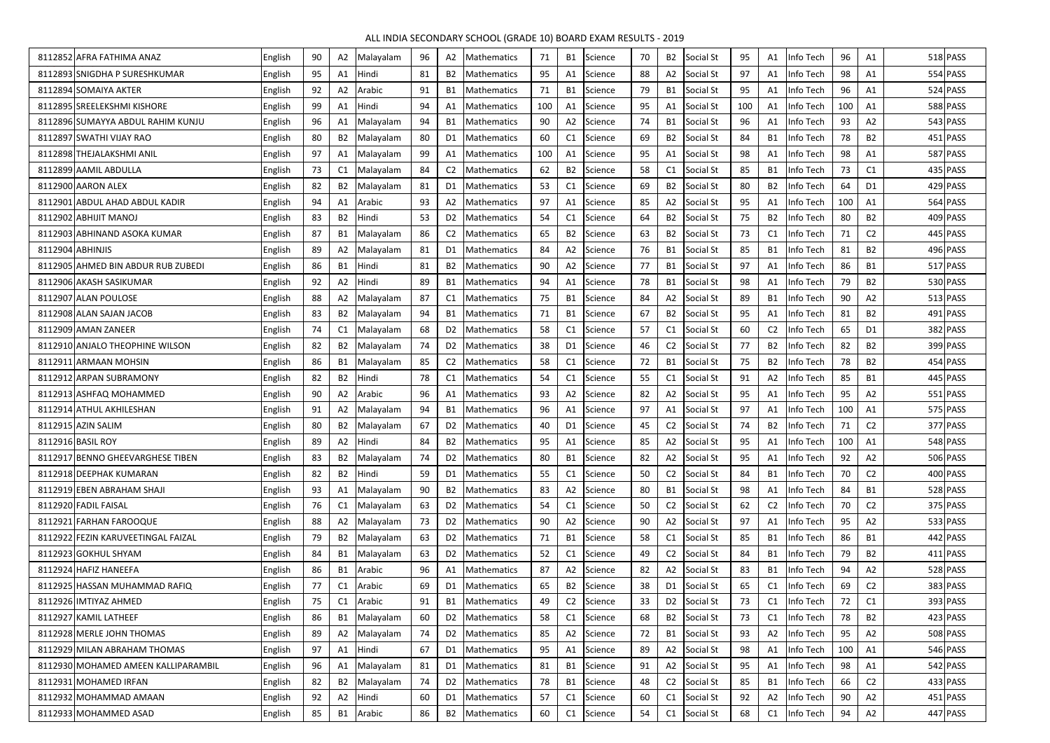## ALL INDIA SECONDARY SCHOOL (GRADE 10) BOARD EXAM RESULTS - 2019

| 8112852 AFRA FATHIMA ANAZ           | English | 90 | A2             | Malayalam    | 96 | A2        | Mathematics                | 71  | <b>B1</b>      | Science | 70 | <b>B2</b>      | Social St                | 95  | A1             | nfo Tech  | 96  | A1             | $518$ PASS |
|-------------------------------------|---------|----|----------------|--------------|----|-----------|----------------------------|-----|----------------|---------|----|----------------|--------------------------|-----|----------------|-----------|-----|----------------|------------|
| 8112893 SNIGDHA P SURESHKUMAR       | English | 95 | A1             | Hindi        | 81 |           | B2   Mathematics           | 95  | A1             | Science | 88 | A2             | Social St                | 97  | A1             | nfo Tech  | 98  | A1             | 554 PASS   |
| 8112894 SOMAIYA AKTER               | English | 92 | A2             | Arabic       | 91 |           | <b>B1</b> Mathematics      | 71  | <b>B1</b>      | Science | 79 | B1             | Social St                | 95  | A1             | nfo Tech  | 96  | A <sub>1</sub> | 524 PASS   |
| 8112895 SREELEKSHMI KISHORE         | English | 99 | A1             | Hindi        | 94 | A1        | Mathematics                | 100 | A1             | Science | 95 | A1             | Social St                | 100 | A1             | nfo Tech  | 100 | A <sub>1</sub> | 588 PASS   |
| 8112896 SUMAYYA ABDUL RAHIM KUNJU   | English | 96 | A <sub>1</sub> | Malayalam    | 94 |           | B1   Mathematics           | 90  | A2             | Science | 74 | B1             | Social St                | 96  | A1             | nfo Tech  | 93  | A2             | 543 PASS   |
| 8112897 SWATHI VIJAY RAO            | English | 80 | <b>B2</b>      | Malayalam    | 80 |           | D1   Mathematics           | 60  | C1             | Science | 69 | <b>B2</b>      | Social St                | 84  | <b>B1</b>      | nfo Tech  | 78  | <b>B2</b>      | $451$ PASS |
| 8112898 THEJALAKSHMI ANIL           | English | 97 | A1             | Malayalam    | 99 |           | A1   Mathematics           | 100 | A1             | Science | 95 | A1             | Social St                | 98  | A1             | nfo Tech  | 98  | A <sub>1</sub> | 587 PASS   |
| 8112899 AAMIL ABDULLA               | English | 73 | C1             | Malayalam    | 84 |           | C2   Mathematics           | 62  | <b>B2</b>      | Science | 58 | C <sub>1</sub> | Social St                | 85  | <b>B1</b>      | nfo Tech  | 73  | C <sub>1</sub> | $435$ PASS |
| 8112900 AARON ALEX                  | English | 82 | <b>B2</b>      | Malayalam    | 81 |           | D1   Mathematics           | 53  | C1             | Science | 69 | <b>B2</b>      | Social St                | 80  | <b>B2</b>      | nfo Tech  | 64  | D <sub>1</sub> | $429$ PASS |
| 8112901 ABDUL AHAD ABDUL KADIR      | English | 94 | A <sub>1</sub> | Arabic       | 93 |           | A2   Mathematics           | 97  | A1             | Science | 85 | A2             | Social St                | 95  | A1             | nfo Tech  | 100 | A <sub>1</sub> | 564 PASS   |
| 8112902 ABHIJIT MANOJ               | English | 83 | <b>B2</b>      | <b>Hindi</b> | 53 | D2        | Mathematics                | 54  | C1             | Science | 64 | B2             | Social St                | 75  | <b>B2</b>      | nfo Tech  | 80  | <b>B2</b>      | 409 PASS   |
| 8112903 ABHINAND ASOKA KUMAR        | English | 87 | <b>B1</b>      | Malayalam    | 86 |           | C2   Mathematics           | 65  | <b>B2</b>      | Science | 63 | <b>B2</b>      | Social St                | 73  | C <sub>1</sub> | nfo Tech  | 71  | C <sub>2</sub> | 445 PASS   |
| 8112904 ABHINJIS                    | English | 89 | A2             | Malayalam    | 81 |           | D1   Mathematics           | 84  | A2             | Science | 76 | B1             | Social St                | 85  | B1             | nfo Tech  | 81  | B2             | 496 PASS   |
| 8112905 AHMED BIN ABDUR RUB ZUBEDI  | English | 86 | <b>B1</b>      | Hindi        | 81 |           | B2   Mathematics           | 90  | A2             | Science | 77 | B1             | Social St                | 97  | A1             | nfo Tech  | 86  | <b>B1</b>      | $517$ PASS |
| 8112906 AKASH SASIKUMAR             | English | 92 | A2             | Hindi        | 89 | <b>B1</b> | Mathematics                | 94  | A1             | Science | 78 | <b>B1</b>      | Social St                | 98  | A1             | nfo Tech  | 79  | <b>B2</b>      | 530 PASS   |
| 8112907 ALAN POULOSE                | English | 88 | A2             | Malayalam    | 87 |           | C1   Mathematics           | 75  | <b>B1</b>      | Science | 84 | A2             | Social St                | 89  | <b>B1</b>      | nfo Tech  | 90  | A2             | $513$ PASS |
| 8112908 ALAN SAJAN JACOB            | English | 83 | B <sub>2</sub> | Malayalam    | 94 |           | B1   Mathematics           | 71  | <b>B1</b>      | Science | 67 | B2             | Social St                | 95  | A1             | nfo Tech  | 81  | <b>B2</b>      | $491$ PASS |
| 8112909 AMAN ZANEER                 | English | 74 | C <sub>1</sub> | Malayalam    | 68 |           | D2   Mathematics           | 58  | C <sub>1</sub> | Science | 57 | C1             | Social St                | 60  | C <sub>2</sub> | nfo Tech  | 65  | D <sub>1</sub> | 382 PASS   |
| 8112910 ANJALO THEOPHINE WILSON     | English | 82 | B <sub>2</sub> | Malayalam    | 74 |           | D2   Mathematics           | 38  | D <sub>1</sub> | Science | 46 | C <sub>2</sub> | Social St                | 77  | <b>B2</b>      | nfo Tech  | 82  | B2             | 399 PASS   |
| 8112911 ARMAAN MOHSIN               | English | 86 | <b>B1</b>      | Malayalam    | 85 |           | C2   Mathematics           | 58  | C <sub>1</sub> | Science | 72 | B1             | Social St                | 75  | B <sub>2</sub> | nfo Tech  | 78  | <b>B2</b>      | 454 PASS   |
| 8112912 ARPAN SUBRAMONY             | English | 82 | <b>B2</b>      | Hindi        | 78 | C1        | Mathematics                | 54  | C <sub>1</sub> | Science | 55 | C1             | Social St                | 91  | A2             | nfo Tech  | 85  | <b>B1</b>      | $445$ PASS |
| 8112913 ASHFAQ MOHAMMED             | English | 90 | A2             | Arabic       | 96 | A1        | <b>Mathematics</b>         | 93  | A2             | Science | 82 | A2             | Social St                | 95  | A1             | nfo Tech  | 95  | A2             | $551$ PASS |
| 8112914 ATHUL AKHILESHAN            | English | 91 | A2             | Malayalam    | 94 |           | B1   Mathematics           | 96  | A <sub>1</sub> | Science | 97 | Α1             | Social St                | 97  | A1             | nfo Tech  | 100 | A <sub>1</sub> | 575 PASS   |
| 8112915 AZIN SALIM                  | English | 80 | <b>B2</b>      | Malayalam    | 67 |           | D <sub>2</sub> Mathematics | 40  | D <sub>1</sub> | Science | 45 | C <sub>2</sub> | Social St                | 74  | <b>B2</b>      | nfo Tech  | 71  | C <sub>2</sub> | 377 PASS   |
| 8112916 BASIL ROY                   | English | 89 | A2             | Hindi        | 84 |           | B2 Mathematics             | 95  | A1             | Science | 85 | A2             | Social St                | 95  | A1             | Info Tech | 100 | A1             | 548 PASS   |
| 8112917 BENNO GHEEVARGHESE TIBEN    | English | 83 | <b>B2</b>      | Malayalam    | 74 |           | D2 Mathematics             | 80  | <b>B1</b>      | Science | 82 | A2             | Social St                | 95  | A1             | Info Tech | 92  | A2             | 506 PASS   |
| 8112918 DEEPHAK KUMARAN             | English | 82 | <b>B2</b>      | Hindi        | 59 |           | D1 Mathematics             | 55  | C1             | Science | 50 | C <sub>2</sub> | Social St                | 84  | <b>B1</b>      | Info Tech | 70  | C <sub>2</sub> | 400 PASS   |
| 8112919 EBEN ABRAHAM SHAJI          | English | 93 | A1             | Malayalam    | 90 |           | B2 Mathematics             | 83  | A2             | Science | 80 | <b>B1</b>      | Social St                | 98  | A1             | nfo Tech  | 84  | <b>B1</b>      | 528 PASS   |
| 8112920 FADIL FAISAL                | English | 76 | C <sub>1</sub> | Malayalam    | 63 |           | D2 Mathematics             | 54  | C1             | Science | 50 | C <sub>2</sub> | Social St                | 62  | C <sub>2</sub> | nfo Tech  | 70  | C <sub>2</sub> | 375 PASS   |
| 8112921 FARHAN FAROOQUE             | English | 88 | A2             | Malayalam    | 73 |           | D2   Mathematics           | 90  | A2             | Science | 90 | A2             | Social St                | 97  | A1             | Info Tech | 95  | A <sub>2</sub> | 533 PASS   |
| 8112922 FEZIN KARUVEETINGAL FAIZAL  | English | 79 | <b>B2</b>      | Malayalam    | 63 |           | D2 Mathematics             | 71  | <b>B1</b>      | Science | 58 | C1             | Social St                | 85  | <b>B1</b>      | nfo Tech  | 86  | <b>B1</b>      | 442 PASS   |
| 8112923 GOKHUL SHYAM                | English | 84 | <b>B1</b>      | Malayalam    | 63 |           | D2   Mathematics           | 52  | C1             | Science | 49 | C <sub>2</sub> | Social St                | 84  | <b>B1</b>      | nfo Tech  | 79  | B2             | $411$ PASS |
| 8112924 HAFIZ HANEEFA               | English | 86 | <b>B1</b>      | Arabic       | 96 |           | A1   Mathematics           | 87  | A2             | Science | 82 | A2             | Social St                | 83  | <b>B1</b>      | nfo Tech  | 94  | A2             | 528 PASS   |
| 8112925 HASSAN MUHAMMAD RAFIQ       | English | 77 | C <sub>1</sub> | Arabic       | 69 |           | D1 Mathematics             | 65  | <b>B2</b>      | Science | 38 |                | D1 Social St             | 65  | C1             | Info Tech | 69  | C <sub>2</sub> | 383 PASS   |
| 8112926 IMTIYAZ AHMED               | English | 75 | C <sub>1</sub> | Arabic       | 91 |           | B1   Mathematics           | 49  | C <sub>2</sub> | Science | 33 |                | D <sub>2</sub> Social St | 73  | C1             | Info Tech | 72  | C1             | 393 PASS   |
| 8112927 KAMIL LATHEEF               | English | 86 | <b>B1</b>      | Malayalam    | 60 |           | D2   Mathematics           | 58  | C1             | Science | 68 |                | B <sub>2</sub> Social St | 73  | C1             | Info Tech | 78  | <b>B2</b>      | 423 PASS   |
| 8112928 MERLE JOHN THOMAS           | English | 89 | A <sub>2</sub> | Malayalam    | 74 |           | D2 Mathematics             | 85  | A2             | Science | 72 |                | B1 Social St             | 93  | A2             | Info Tech | 95  | A2             | 508 PASS   |
| 8112929 MILAN ABRAHAM THOMAS        | English | 97 | A <sub>1</sub> | Hindi        | 67 |           | D1 Mathematics             | 95  | A1             | Science | 89 |                | A2 Social St             | 98  | A1             | Info Tech | 100 | A1             | 546 PASS   |
| 8112930 MOHAMED AMEEN KALLIPARAMBIL | English | 96 | A1             | Malayalam    | 81 |           | D1   Mathematics           | 81  | <b>B1</b>      | Science | 91 |                | A2 Social St             | 95  | A1             | Info Tech | 98  | A <sub>1</sub> | 542 PASS   |
| 8112931 MOHAMED IRFAN               | English | 82 | <b>B2</b>      | Malayalam    | 74 |           | D2   Mathematics           | 78  | <b>B1</b>      | Science | 48 | C2             | Social St                | 85  | B1             | Info Tech | 66  | C <sub>2</sub> | 433 PASS   |
| 8112932 MOHAMMAD AMAAN              | English | 92 | A2             | Hindi        | 60 |           | D1   Mathematics           | 57  | C1             | Science | 60 | C1             | Social St                | 92  | A2             | Info Tech | 90  | A2             | 451 PASS   |
| 8112933 MOHAMMED ASAD               | English | 85 |                | B1 Arabic    | 86 |           | B2 Mathematics             | 60  | C1             | Science | 54 | C1             | Social St                | 68  | C1             | Info Tech | 94  | A2             | 447 PASS   |